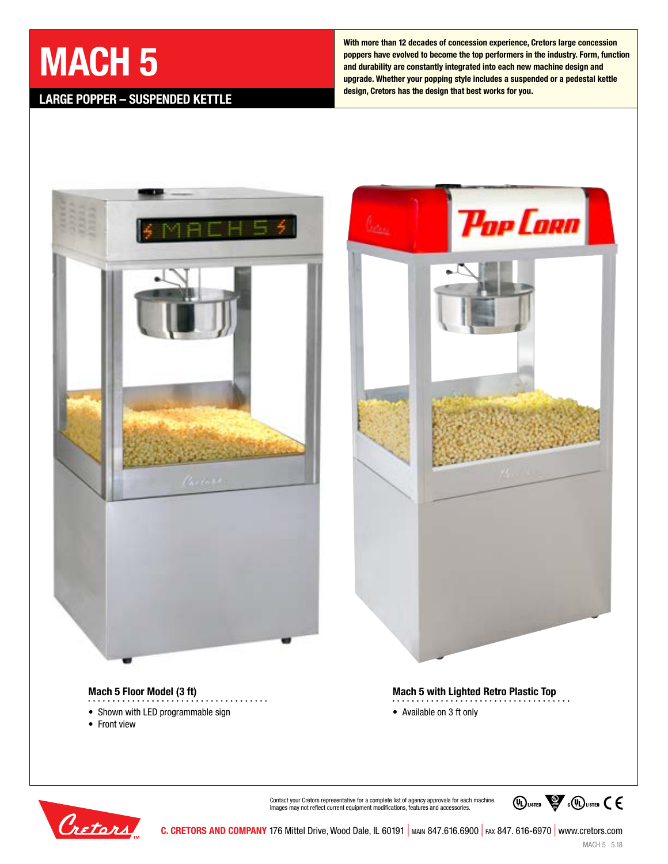# **MACH 5**

# **LARGE POPPER – SUSPENDED KETTLE**

**With more than 12 decades of concession experience, Cretors large concession poppers have evolved to become the top performers in the industry. Form, function and durability are constantly integrated into each new machine design and upgrade. Whether your popping style includes a suspended or a pedestal kettle design, Cretors has the design that best works for you.**





### **Mach 5 Floor Model (3 ft)**

- Shown with LED programmable sign
- Front view
- **Mach 5 with Lighted Retro Plastic Top**
- Available on 3 ft only



Contact your Cretors representative for a complete list of agency approvals for each machine. Images may not reflect current equipment modifications, features and accessories.

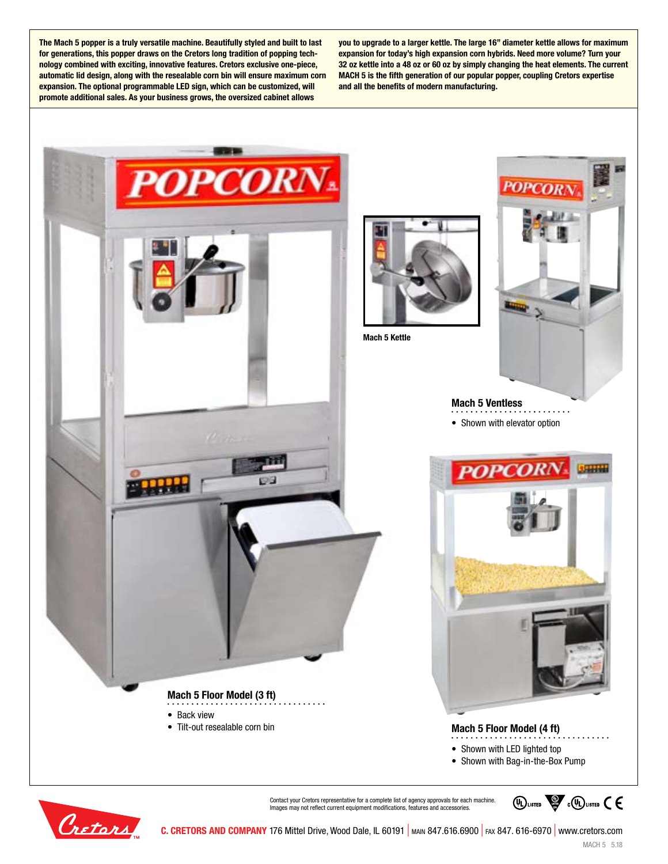**The Mach 5 popper is a truly versatile machine. Beautifully styled and built to last for generations, this popper draws on the Cretors long tradition of popping technology combined with exciting, innovative features. Cretors exclusive one-piece, automatic lid design, along with the resealable corn bin will ensure maximum corn expansion. The optional programmable LED sign, which can be customized, will promote additional sales. As your business grows, the oversized cabinet allows** 

**you to upgrade to a larger kettle. The large 16" diameter kettle allows for maximum expansion for today's high expansion corn hybrids. Need more volume? Turn your 32 oz kettle into a 48 oz or 60 oz by simply changing the heat elements. The current MACH 5 is the fifth generation of our popular popper, coupling Cretors expertise and all the benefits of modern manufacturing.**





Contact your Cretors representative for a complete list of agency approvals for each machine. Images may not reflect current equipment modifications, features and accessories

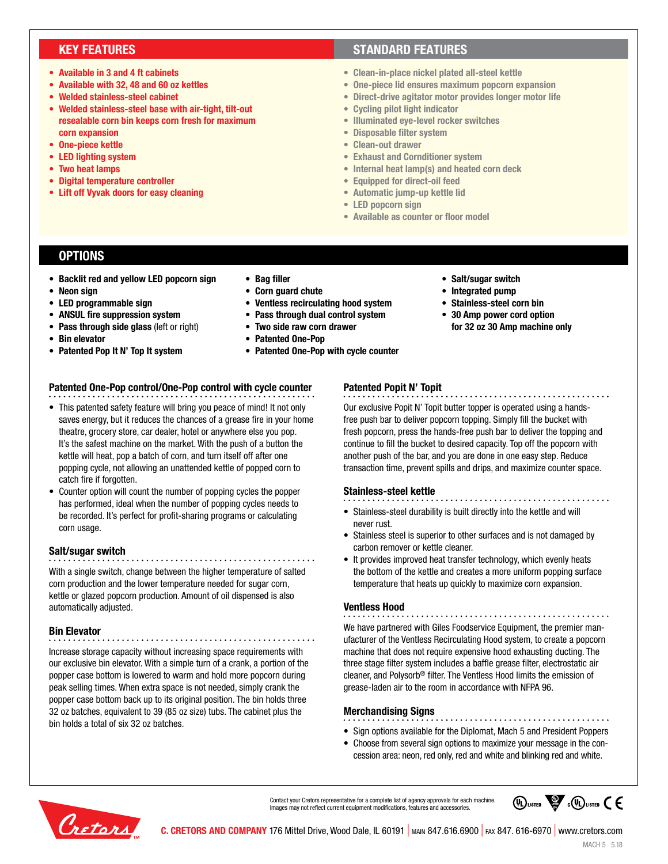## **KEY FEATURES**

- **• Available in 3 and 4 ft cabinets**
- **• Available with 32, 48 and 60 oz kettles**
- **• Welded stainless-steel cabinet**
- **• Welded stainless-steel base with air-tight, tilt-out resealable corn bin keeps corn fresh for maximum corn expansion**
- **• One-piece kettle**
- **• LED lighting system**
- **• Two heat lamps**
- **• Digital temperature controller**
- **• Lift off Vyvak doors for easy cleaning**

## **STANDARD FEATURES**

- **• Clean-in-place nickel plated all-steel kettle**
- **• One-piece lid ensures maximum popcorn expansion**
- **• Direct-drive agitator motor provides longer motor life**
- **• Cycling pilot light indicator**
- **• Illuminated eye-level rocker switches**
- **• Disposable filter system**
- **• Clean-out drawer**
- **• Exhaust and Cornditioner system**
- **• Internal heat lamp(s) and heated corn deck**
- **• Equipped for direct-oil feed**
- **• Automatic jump-up kettle lid**
- **• LED popcorn sign**
- **• Available as counter or floor model**

### **OPTIONS**

- **• Backlit red and yellow LED popcorn sign**
- **• Neon sign**
- **• LED programmable sign**
- **• ANSUL fire suppression system**
- **• Pass through side glass** (left or right)
- **• Bin elevator**
- **• Patented Pop It N' Top It system**
- **• Bag filler**
- **• Corn guard chute**
- **• Ventless recirculating hood system**
- **• Pass through dual control system**
- 
- 
- 

#### **Patented One-Pop control/One-Pop control with cycle counter**

- This patented safety feature will bring you peace of mind! It not only saves energy, but it reduces the chances of a grease fire in your home theatre, grocery store, car dealer, hotel or anywhere else you pop. It's the safest machine on the market. With the push of a button the kettle will heat, pop a batch of corn, and turn itself off after one popping cycle, not allowing an unattended kettle of popped corn to catch fire if forgotten.
- Counter option will count the number of popping cycles the popper has performed, ideal when the number of popping cycles needs to be recorded. It's perfect for profit-sharing programs or calculating corn usage.

#### **Salt/sugar switch**

With a single switch, change between the higher temperature of salted corn production and the lower temperature needed for sugar corn, kettle or glazed popcorn production. Amount of oil dispensed is also automatically adjusted.

#### **Bin Elevator**

Increase storage capacity without increasing space requirements with our exclusive bin elevator. With a simple turn of a crank, a portion of the popper case bottom is lowered to warm and hold more popcorn during peak selling times. When extra space is not needed, simply crank the popper case bottom back up to its original position. The bin holds three 32 oz batches, equivalent to 39 (85 oz size) tubs. The cabinet plus the bin holds a total of six 32 oz batches.

- 
- **• Salt/sugar switch**
- **• Integrated pump**
- **• Stainless-steel corn bin**
- **• 30 Amp power cord option for 32 oz 30 Amp machine only**

# **Patented Popit N' Topit**

Our exclusive Popit N' Topit butter topper is operated using a handsfree push bar to deliver popcorn topping. Simply fill the bucket with fresh popcorn, press the hands-free push bar to deliver the topping and continue to fill the bucket to desired capacity. Top off the popcorn with another push of the bar, and you are done in one easy step. Reduce transaction time, prevent spills and drips, and maximize counter space.

#### **Stainless-steel kettle**

- Stainless-steel durability is built directly into the kettle and will never rust.
- Stainless steel is superior to other surfaces and is not damaged by carbon remover or kettle cleaner.
- It provides improved heat transfer technology, which evenly heats the bottom of the kettle and creates a more uniform popping surface temperature that heats up quickly to maximize corn expansion.

#### **Ventless Hood**

We have partnered with Giles Foodservice Equipment, the premier manufacturer of the Ventless Recirculating Hood system, to create a popcorn machine that does not require expensive hood exhausting ducting. The three stage filter system includes a baffle grease filter, electrostatic air cleaner, and Polysorb® filter. The Ventless Hood limits the emission of grease-laden air to the room in accordance with NFPA 96.

**Merchandising Signs**

- Sign options available for the Diplomat, Mach 5 and President Poppers
- Choose from several sign options to maximize your message in the concession area: neon, red only, red and white and blinking red and white.





**C. CRETORS AND COMPANY** 176 Mittel Drive, Wood Dale, IL 60191 | main 847.616.6900 | fax 847. 616-6970 | www.cretors.com

- 
- 
- **• Two side raw corn drawer**
- **• Patented One-Pop**
- **• Patented One-Pop with cycle counter**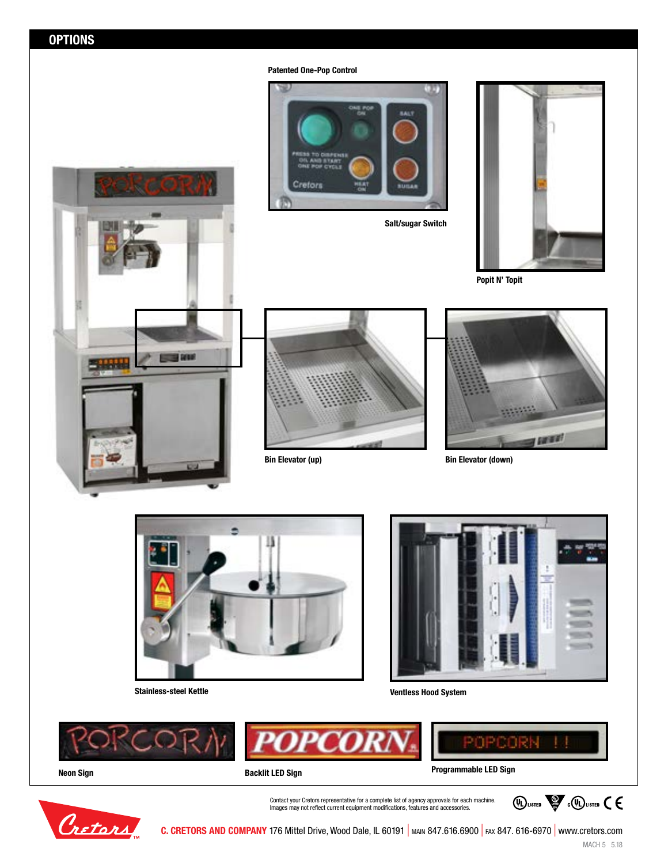**Patented One-Pop Control**



**Salt/sugar Switch**



**Popit N' Topit**







**Bin Elevator (up) Bin Elevator (down)**



**Stainless-steel Kettle Ventless Hood System**





Contact your Cretors representative for a complete list of agency approvals for each machine. Images may not reflect current equipment modifications, features and accessories.





**C. CRETORS AND COMPANY** 176 Mittel Drive, Wood Dale, IL 60191 | MAIN 847.616.6900 | FAX 847. 616-6970 | www.cretors.com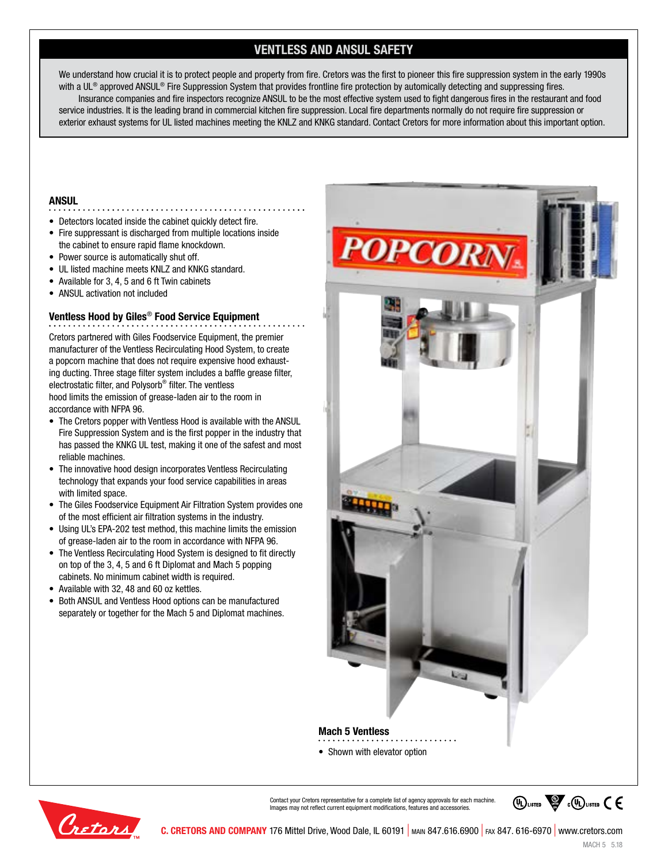# **VENTLESS AND ANSUL SAFETY**

We understand how crucial it is to protect people and property from fire. Cretors was the first to pioneer this fire suppression system in the early 1990s with a UL® approved ANSUL® Fire Suppression System that provides frontline fire protection by automically detecting and suppressing fires. Insurance companies and fire inspectors recognize ANSUL to be the most effective system used to fight dangerous fires in the restaurant and food service industries. It is the leading brand in commercial kitchen fire suppression. Local fire departments normally do not require fire suppression or exterior exhaust systems for UL listed machines meeting the KNLZ and KNKG standard. Contact Cretors for more information about this important option.

#### **ANSUL**

- Detectors located inside the cabinet quickly detect fire.
- Fire suppressant is discharged from multiple locations inside the cabinet to ensure rapid flame knockdown.
- Power source is automatically shut off.
- UL listed machine meets KNLZ and KNKG standard.
- Available for 3, 4, 5 and 6 ft Twin cabinets
- ANSUL activation not included

#### **Ventless Hood by Giles**® **Food Service Equipment**

Cretors partnered with Giles Foodservice Equipment, the premier manufacturer of the Ventless Recirculating Hood System, to create a popcorn machine that does not require expensive hood exhausting ducting. Three stage filter system includes a baffle grease filter, electrostatic filter, and Polysorb® filter. The ventless hood limits the emission of grease-laden air to the room in accordance with NFPA 96.

- The Cretors popper with Ventless Hood is available with the ANSUL Fire Suppression System and is the first popper in the industry that has passed the KNKG UL test, making it one of the safest and most reliable machines.
- The innovative hood design incorporates Ventless Recirculating technology that expands your food service capabilities in areas with limited space.
- The Giles Foodservice Equipment Air Filtration System provides one of the most efficient air filtration systems in the industry.
- Using UL's EPA-202 test method, this machine limits the emission of grease-laden air to the room in accordance with NFPA 96.
- The Ventless Recirculating Hood System is designed to fit directly on top of the 3, 4, 5 and 6 ft Diplomat and Mach 5 popping cabinets. No minimum cabinet width is required.
- Available with 32, 48 and 60 oz kettles.
- Both ANSUL and Ventless Hood options can be manufactured separately or together for the Mach 5 and Diplomat machines.





Contact your Cretors representative for a complete list of agency approvals for each machine. Images may not reflect current equipment modifications, features and accessories.

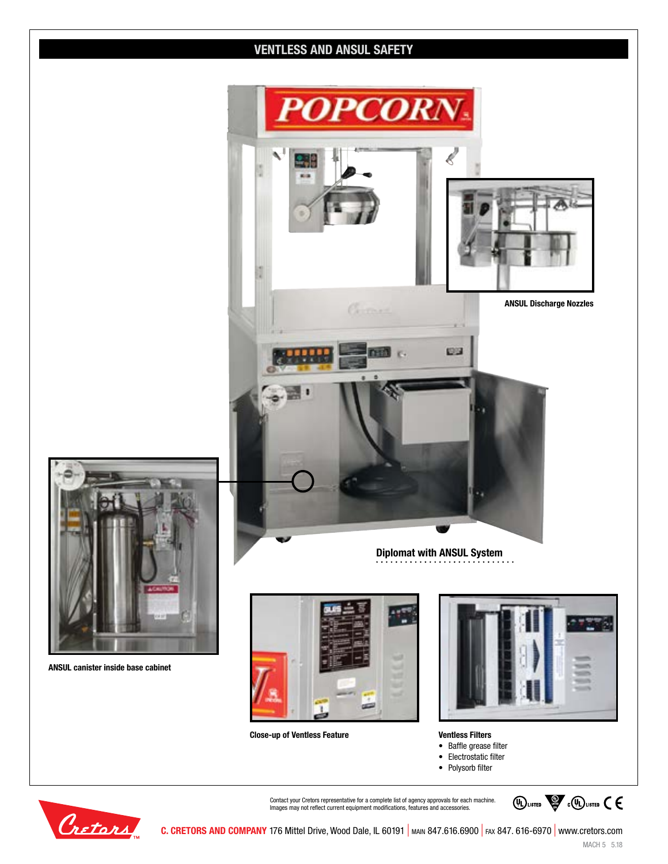# **VENTLESS AND ANSUL SAFETY**



**Close-up of Ventless Feature Ventless Filters**

- Baffle grease filter
- Electrostatic filter
- Polysorb filter



Cretors

Contact your Cretors representative for a complete list of agency approvals for each machine. Images may not reflect current equipment modifications, features and accessories.



**C. CRETORS AND COMPANY** 176 Mittel Drive, Wood Dale, IL 60191 | MAIN 847.616.6900 | FAX 847. 616-6970 | www.cretors.com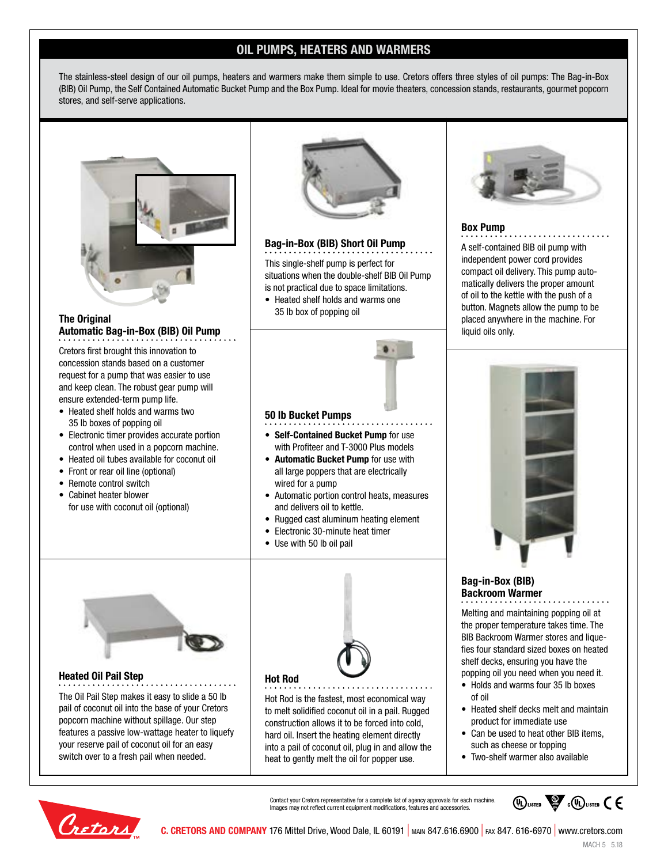# **OIL PUMPS, HEATERS AND WARMERS**

The stainless-steel design of our oil pumps, heaters and warmers make them simple to use. Cretors offers three styles of oil pumps: The Bag-in-Box (BIB) Oil Pump, the Self Contained Automatic Bucket Pump and the Box Pump. Ideal for movie theaters, concession stands, restaurants, gourmet popcorn stores, and self-serve applications.



#### **The Original Automatic Bag-in-Box (BIB) Oil Pump**

Cretors first brought this innovation to concession stands based on a customer request for a pump that was easier to use and keep clean. The robust gear pump will ensure extended-term pump life.

- Heated shelf holds and warms two 35 lb boxes of popping oil
- Electronic timer provides accurate portion control when used in a popcorn machine.
- Heated oil tubes available for coconut oil
- Front or rear oil line (optional)
- Remote control switch
- Cabinet heater blower for use with coconut oil (optional)



#### **Bag-in-Box (BIB) Short Oil Pump**

This single-shelf pump is perfect for situations when the double-shelf BIB Oil Pump is not practical due to space limitations.

• Heated shelf holds and warms one 35 lb box of popping oil

**• Self-Contained Bucket Pump** for use with Profiteer and T-3000 Plus models **• Automatic Bucket Pump** for use with all large poppers that are electrically

• Automatic portion control heats, measures

• Rugged cast aluminum heating element • Electronic 30-minute heat timer

**50 lb Bucket Pumps**

wired for a pump

• Use with 50 lb oil pail

and delivers oil to kettle.



A self-contained BIB oil pump with independent power cord provides compact oil delivery. This pump automatically delivers the proper amount of oil to the kettle with the push of a button. Magnets allow the pump to be placed anywhere in the machine. For liquid oils only.



### **Bag-in-Box (BIB) Backroom Warmer**

Melting and maintaining popping oil at the proper temperature takes time. The BIB Backroom Warmer stores and liquefies four standard sized boxes on heated shelf decks, ensuring you have the popping oil you need when you need it.

- Holds and warms four 35 lb boxes of oil
- Heated shelf decks melt and maintain product for immediate use
- Can be used to heat other BIB items, such as cheese or topping
- Two-shelf warmer also available

Contact your Cretors representative for a complete list of agency approvals for each machine. Images may not reflect current equipment modifications, features and accessories.

Hot Rod is the fastest, most economical way to melt solidified coconut oil in a pail. Rugged construction allows it to be forced into cold, hard oil. Insert the heating element directly into a pail of coconut oil, plug in and allow the heat to gently melt the oil for popper use.

**Hot Rod**





**Heated Oil Pail Step**

The Oil Pail Step makes it easy to slide a 50 lb pail of coconut oil into the base of your Cretors popcorn machine without spillage. Our step features a passive low-wattage heater to liquefy your reserve pail of coconut oil for an easy switch over to a fresh pail when needed.

**C. CRETORS AND COMPANY** 176 Mittel Drive, Wood Dale, IL 60191 | main 847.616.6900 | fax 847. 616-6970 | www.cretors.com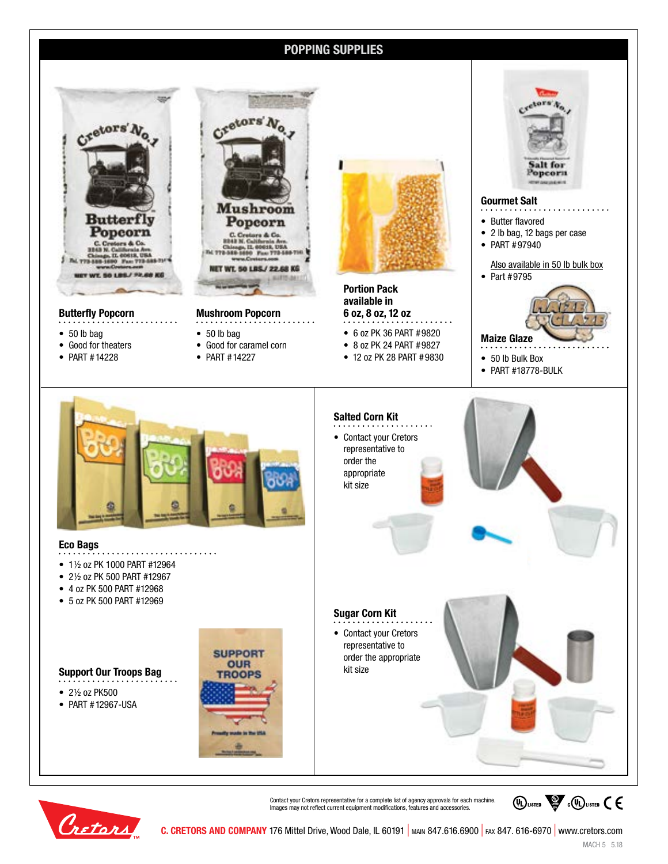## **POPPING SUPPLIES**



#### **Butterfly Popcorn**

- 50 lb bag
- Good for theaters
- PART #14228



**Mushroom Popcorn**

- 50 lb bag
- Good for caramel corn
- PART #14227



**Portion Pack available in 6 oz, 8 oz, 12 oz**

- 6 oz PK 36 PART #9820
- 8 oz PK 24 PART #9827
- 12 oz PK 28 PART #9830
- 50 lb Bulk Box • PART #18778-BULK

**Gourmet Salt** • Butter flavored

• PART #97940

• Part #9795

**Maize Glaze**

• 2 lb bag, 12 bags per case

Aors

Salt for Popcorn

Also available in 50 lb bulk box



#### **Eco Bags**

- • 1½ oz PK 1000 PART #12964
- 2½ oz PK 500 PART #12967
- 4 oz PK 500 PART #12968
- 5 oz PK 500 PART #12969

- 2½ oz PK500
- 
- PART #12967-USA





Contact your Cretors representative for a complete list of agency approvals for each machine. Images may not reflect current equipment modifications, features and accessories.



**C. CRETORS AND COMPANY** 176 Mittel Drive, Wood Dale, IL 60191 | main 847.616.6900 | fax 847. 616-6970 | www.cretors.com

**WEIGHTED** COULISTED CE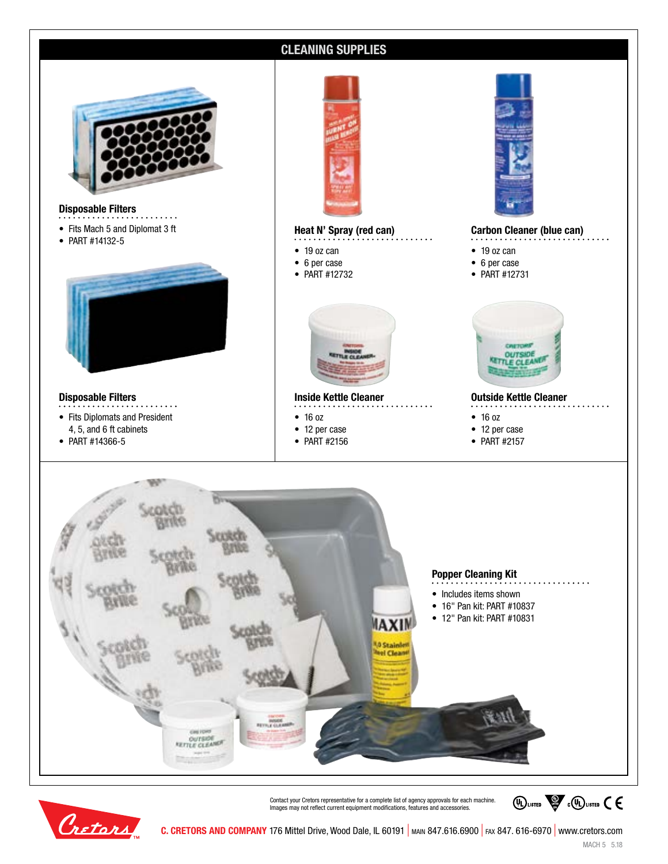

Cretors

**C. CRETORS AND COMPANY** 176 Mittel Drive, Wood Dale, IL 60191 | MAIN 847.616.6900 | FAX 847. 616-6970 | www.cretors.com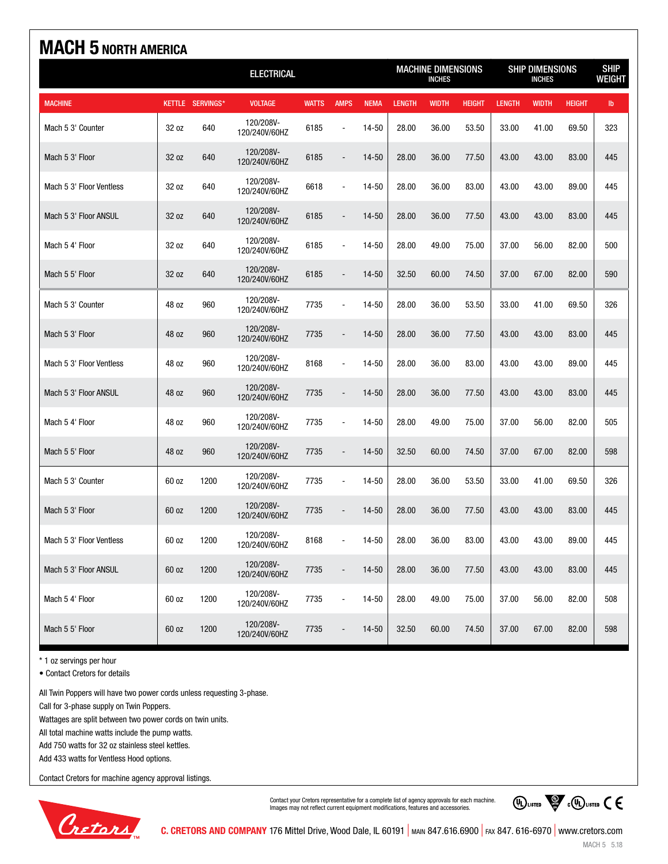| <b>MACH 5 NORTH AMERICA</b> |                   |                  |                            |              |                                            |             |               |                                         |               |               |                              |               |               |
|-----------------------------|-------------------|------------------|----------------------------|--------------|--------------------------------------------|-------------|---------------|-----------------------------------------|---------------|---------------|------------------------------|---------------|---------------|
|                             | <b>ELECTRICAL</b> |                  |                            |              | <b>MACHINE DIMENSIONS</b><br><b>INCHES</b> |             |               | <b>SHIP DIMENSIONS</b><br><b>INCHES</b> |               |               | <b>SHIP</b><br><b>WEIGHT</b> |               |               |
| <b>MACHINE</b>              |                   | KETTLE SERVINGS* | <b>VOLTAGE</b>             | <b>WATTS</b> | <b>AMPS</b>                                | <b>NEMA</b> | <b>LENGTH</b> | <b>WIDTH</b>                            | <b>HEIGHT</b> | <b>LENGTH</b> | <b>WIDTH</b>                 | <b>HEIGHT</b> | $\mathsf{lb}$ |
| Mach 5 3' Counter           | 32 oz             | 640              | 120/208V-<br>120/240V/60HZ | 6185         |                                            | 14-50       | 28.00         | 36.00                                   | 53.50         | 33.00         | 41.00                        | 69.50         | 323           |
| Mach 5 3' Floor             | 32 oz             | 640              | 120/208V-<br>120/240V/60HZ | 6185         | $\frac{1}{2}$                              | $14 - 50$   | 28.00         | 36.00                                   | 77.50         | 43.00         | 43.00                        | 83.00         | 445           |
| Mach 5 3' Floor Ventless    | 32 oz             | 640              | 120/208V-<br>120/240V/60HZ | 6618         | ä,                                         | 14-50       | 28.00         | 36.00                                   | 83.00         | 43.00         | 43.00                        | 89.00         | 445           |
| Mach 5 3' Floor ANSUL       | 32 oz             | 640              | 120/208V-<br>120/240V/60HZ | 6185         |                                            | 14-50       | 28.00         | 36.00                                   | 77.50         | 43.00         | 43.00                        | 83.00         | 445           |
| Mach 5 4' Floor             | 32 oz             | 640              | 120/208V-<br>120/240V/60HZ | 6185         | $\overline{\phantom{a}}$                   | 14-50       | 28.00         | 49.00                                   | 75.00         | 37.00         | 56.00                        | 82.00         | 500           |
| Mach 5 5' Floor             | 32 oz             | 640              | 120/208V-<br>120/240V/60HZ | 6185         | $\blacksquare$                             | 14-50       | 32.50         | 60.00                                   | 74.50         | 37.00         | 67.00                        | 82.00         | 590           |
| Mach 5 3' Counter           | 48 oz             | 960              | 120/208V-<br>120/240V/60HZ | 7735         | $\overline{\phantom{a}}$                   | 14-50       | 28.00         | 36.00                                   | 53.50         | 33.00         | 41.00                        | 69.50         | 326           |
| Mach 5 3' Floor             | 48 oz             | 960              | 120/208V-<br>120/240V/60HZ | 7735         |                                            | 14-50       | 28.00         | 36.00                                   | 77.50         | 43.00         | 43.00                        | 83.00         | 445           |
| Mach 5 3' Floor Ventless    | 48 oz             | 960              | 120/208V-<br>120/240V/60HZ | 8168         | $\blacksquare$                             | 14-50       | 28.00         | 36.00                                   | 83.00         | 43.00         | 43.00                        | 89.00         | 445           |
| Mach 5 3' Floor ANSUL       | 48 oz             | 960              | 120/208V-<br>120/240V/60HZ | 7735         | $\overline{a}$                             | 14-50       | 28.00         | 36.00                                   | 77.50         | 43.00         | 43.00                        | 83.00         | 445           |
| Mach 5 4' Floor             | 48 oz             | 960              | 120/208V-<br>120/240V/60HZ | 7735         | $\sim$                                     | 14-50       | 28.00         | 49.00                                   | 75.00         | 37.00         | 56.00                        | 82.00         | 505           |
| Mach 5 5' Floor             | 48 oz             | 960              | 120/208V-<br>120/240V/60HZ | 7735         |                                            | 14-50       | 32.50         | 60.00                                   | 74.50         | 37.00         | 67.00                        | 82.00         | 598           |
| Mach 5 3' Counter           | 60 oz             | 1200             | 120/208V-<br>120/240V/60HZ | 7735         | ä,                                         | 14-50       | 28.00         | 36.00                                   | 53.50         | 33.00         | 41.00                        | 69.50         | 326           |
| Mach 5 3' Floor             | 60 oz             | 1200             | 120/208V-<br>120/240V/60HZ | 7735         |                                            | 14-50       | 28.00         | 36.00                                   | 77.50         | 43.00         | 43.00                        | 83.00         | 445           |
| Mach 5 3' Floor Ventless    | 60 oz             | 1200             | 120/208V-<br>120/240V/60HZ | 8168         |                                            | 14-50       | 28.00         | 36.00                                   | 83.00         | 43.00         | 43.00                        | 89.00         | 445           |
| Mach 5 3' Floor ANSUL       | 60 oz             | 1200             | 120/208V-<br>120/240V/60HZ | 7735         |                                            | $14 - 50$   | 28.00         | 36.00                                   | 77.50         | 43.00         | 43.00                        | 83.00         | 445           |
| Mach 5 4' Floor             | 60 oz             | 1200             | 120/208V-<br>120/240V/60HZ | 7735         | ÷                                          | 14-50       | 28.00         | 49.00                                   | 75.00         | 37.00         | 56.00                        | 82.00         | 508           |
| Mach 5 5' Floor             | 60 oz             | 1200             | 120/208V-<br>120/240V/60HZ | 7735         |                                            | $14 - 50$   | 32.50         | 60.00                                   | 74.50         | 37.00         | 67.00                        | 82.00         | 598           |

\* 1 oz servings per hour

• Contact Cretors for details

All Twin Poppers will have two power cords unless requesting 3-phase.

Call for 3-phase supply on Twin Poppers.

Wattages are split between two power cords on twin units.

All total machine watts include the pump watts.

Add 750 watts for 32 oz stainless steel kettles.

Add 433 watts for Ventless Hood options.

Contact Cretors for machine agency approval listings.



Contact your Cretors representative for a complete list of agency approvals for each machine. Images may not reflect current equipment modifications, features and accessories.

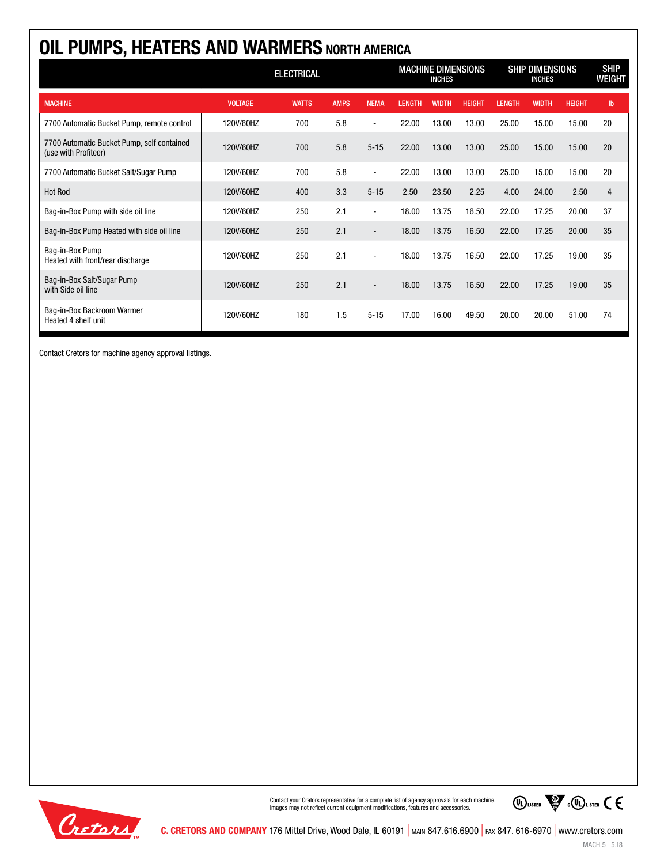| OIL PUMPS, HEATERS AND WARMERS NORTH AMERICA                       |                   |              |             |                          |                                            |              |               |                                         |              |               |                       |
|--------------------------------------------------------------------|-------------------|--------------|-------------|--------------------------|--------------------------------------------|--------------|---------------|-----------------------------------------|--------------|---------------|-----------------------|
|                                                                    | <b>ELECTRICAL</b> |              |             |                          | <b>MACHINE DIMENSIONS</b><br><b>INCHES</b> |              |               | <b>SHIP DIMENSIONS</b><br><b>INCHES</b> |              |               | <b>SHIP</b><br>WEIGHT |
| <b>MACHINE</b>                                                     | <b>VOLTAGE</b>    | <b>WATTS</b> | <b>AMPS</b> | <b>NEMA</b>              | <b>LENGTH</b>                              | <b>WIDTH</b> | <b>HEIGHT</b> | <b>LENGTH</b>                           | <b>WIDTH</b> | <b>HEIGHT</b> | $\mathbf{I}$          |
| 7700 Automatic Bucket Pump, remote control                         | 120V/60HZ         | 700          | 5.8         | $\blacksquare$           | 22.00                                      | 13.00        | 13.00         | 25.00                                   | 15.00        | 15.00         | 20                    |
| 7700 Automatic Bucket Pump, self contained<br>(use with Profiteer) | 120V/60HZ         | 700          | 5.8         | $5 - 15$                 | 22.00                                      | 13.00        | 13.00         | 25.00                                   | 15.00        | 15.00         | 20                    |
| 7700 Automatic Bucket Salt/Sugar Pump                              | 120V/60HZ         | 700          | 5.8         | $\blacksquare$           | 22.00                                      | 13.00        | 13.00         | 25.00                                   | 15.00        | 15.00         | 20                    |
| <b>Hot Rod</b>                                                     | 120V/60HZ         | 400          | 3.3         | $5 - 15$                 | 2.50                                       | 23.50        | 2.25          | 4.00                                    | 24.00        | 2.50          | $\overline{4}$        |
| Bag-in-Box Pump with side oil line                                 | 120V/60HZ         | 250          | 2.1         | $\sim$                   | 18.00                                      | 13.75        | 16.50         | 22.00                                   | 17.25        | 20.00         | 37                    |
| Bag-in-Box Pump Heated with side oil line                          | 120V/60HZ         | 250          | 2.1         | $\overline{\phantom{a}}$ | 18.00                                      | 13.75        | 16.50         | 22.00                                   | 17.25        | 20.00         | 35                    |
| Bag-in-Box Pump<br>Heated with front/rear discharge                | 120V/60HZ         | 250          | 2.1         | $\overline{a}$           | 18.00                                      | 13.75        | 16.50         | 22.00                                   | 17.25        | 19.00         | 35                    |
| Bag-in-Box Salt/Sugar Pump<br>with Side oil line                   | 120V/60HZ         | 250          | 2.1         |                          | 18.00                                      | 13.75        | 16.50         | 22.00                                   | 17.25        | 19.00         | 35                    |
| Bag-in-Box Backroom Warmer<br>Heated 4 shelf unit                  | 120V/60HZ         | 180          | 1.5         | $5 - 15$                 | 17.00                                      | 16.00        | 49.50         | 20.00                                   | 20.00        | 51.00         | 74                    |

Contact Cretors for machine agency approval listings.



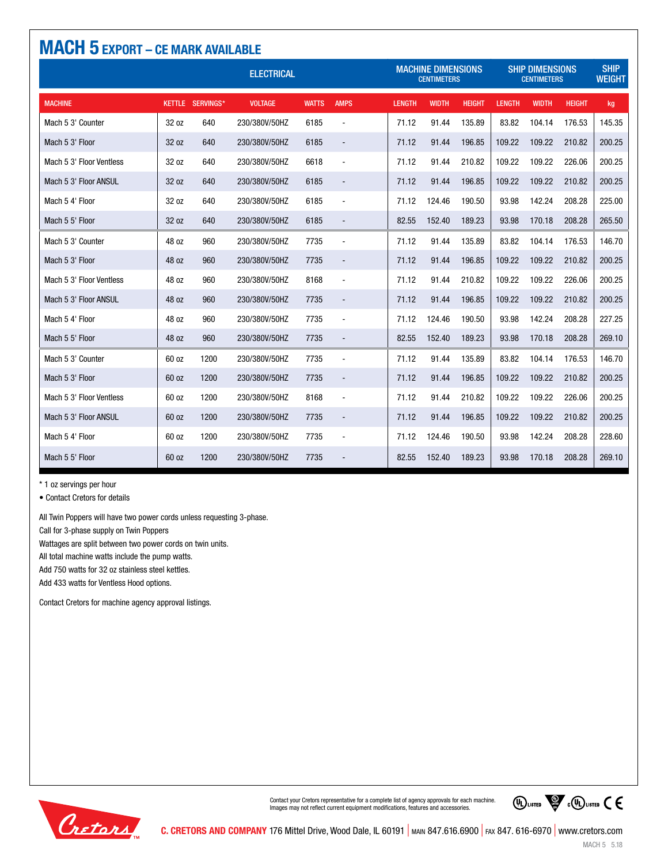| <b>MACH 5 EXPORT - CE MARK AVAILABLE</b> |                   |                         |                |              |                          |                                                 |              |               |                                              |                              |               |        |
|------------------------------------------|-------------------|-------------------------|----------------|--------------|--------------------------|-------------------------------------------------|--------------|---------------|----------------------------------------------|------------------------------|---------------|--------|
|                                          | <b>ELECTRICAL</b> |                         |                |              |                          | <b>MACHINE DIMENSIONS</b><br><b>CENTIMETERS</b> |              |               | <b>SHIP DIMENSIONS</b><br><b>CENTIMETERS</b> | <b>SHIP</b><br><b>WEIGHT</b> |               |        |
| <b>MACHINE</b>                           |                   | <b>KETTLE SERVINGS*</b> | <b>VOLTAGE</b> | <b>WATTS</b> | <b>AMPS</b>              | <b>LENGTH</b>                                   | <b>WIDTH</b> | <b>HEIGHT</b> | <b>LENGTH</b>                                | <b>WIDTH</b>                 | <b>HEIGHT</b> | kg     |
| Mach 5 3' Counter                        | 32 oz             | 640                     | 230/380V/50HZ  | 6185         | $\overline{\phantom{a}}$ | 71.12                                           | 91.44        | 135.89        | 83.82                                        | 104.14                       | 176.53        | 145.35 |
| Mach 5 3' Floor                          | 32 oz             | 640                     | 230/380V/50HZ  | 6185         |                          | 71.12                                           | 91.44        | 196.85        | 109.22                                       | 109.22                       | 210.82        | 200.25 |
| Mach 5 3' Floor Ventless                 | 32 oz             | 640                     | 230/380V/50HZ  | 6618         | $\overline{a}$           | 71.12                                           | 91.44        | 210.82        | 109.22                                       | 109.22                       | 226.06        | 200.25 |
| Mach 5 3' Floor ANSUL                    | 32 oz             | 640                     | 230/380V/50HZ  | 6185         | $\overline{\phantom{a}}$ | 71.12                                           | 91.44        | 196.85        | 109.22                                       | 109.22                       | 210.82        | 200.25 |
| Mach 5 4' Floor                          | 32 oz             | 640                     | 230/380V/50HZ  | 6185         | $\sim$                   | 71.12                                           | 124.46       | 190.50        | 93.98                                        | 142.24                       | 208.28        | 225.00 |
| Mach 5 5' Floor                          | 32 oz             | 640                     | 230/380V/50HZ  | 6185         |                          | 82.55                                           | 152.40       | 189.23        | 93.98                                        | 170.18                       | 208.28        | 265.50 |
| Mach 5 3' Counter                        | 48 oz             | 960                     | 230/380V/50HZ  | 7735         | $\blacksquare$           | 71.12                                           | 91.44        | 135.89        | 83.82                                        | 104.14                       | 176.53        | 146.70 |
| Mach 5 3' Floor                          | 48 oz             | 960                     | 230/380V/50HZ  | 7735         | $\blacksquare$           | 71.12                                           | 91.44        | 196.85        | 109.22                                       | 109.22                       | 210.82        | 200.25 |
| Mach 5 3' Floor Ventless                 | 48 oz             | 960                     | 230/380V/50HZ  | 8168         | $\blacksquare$           | 71.12                                           | 91.44        | 210.82        | 109.22                                       | 109.22                       | 226.06        | 200.25 |
| Mach 5 3' Floor ANSUL                    | 48 oz             | 960                     | 230/380V/50HZ  | 7735         | $\overline{\phantom{a}}$ | 71.12                                           | 91.44        | 196.85        | 109.22                                       | 109.22                       | 210.82        | 200.25 |
| Mach 5 4' Floor                          | 48 oz             | 960                     | 230/380V/50HZ  | 7735         | $\overline{\phantom{a}}$ | 71.12                                           | 124.46       | 190.50        | 93.98                                        | 142.24                       | 208.28        | 227.25 |
| Mach 5 5' Floor                          | 48 oz             | 960                     | 230/380V/50HZ  | 7735         |                          | 82.55                                           | 152.40       | 189.23        | 93.98                                        | 170.18                       | 208.28        | 269.10 |
| Mach 5 3' Counter                        | 60 oz             | 1200                    | 230/380V/50HZ  | 7735         | $\blacksquare$           | 71.12                                           | 91.44        | 135.89        | 83.82                                        | 104.14                       | 176.53        | 146.70 |
| Mach 5 3' Floor                          | 60 oz             | 1200                    | 230/380V/50HZ  | 7735         | $\blacksquare$           | 71.12                                           | 91.44        | 196.85        | 109.22                                       | 109.22                       | 210.82        | 200.25 |
| Mach 5 3' Floor Ventless                 | 60 oz             | 1200                    | 230/380V/50HZ  | 8168         | $\overline{\phantom{a}}$ | 71.12                                           | 91.44        | 210.82        | 109.22                                       | 109.22                       | 226.06        | 200.25 |
| Mach 5 3' Floor ANSUL                    | 60 oz             | 1200                    | 230/380V/50HZ  | 7735         | $\overline{\phantom{a}}$ | 71.12                                           | 91.44        | 196.85        | 109.22                                       | 109.22                       | 210.82        | 200.25 |
| Mach 5 4' Floor                          | 60 oz             | 1200                    | 230/380V/50HZ  | 7735         | $\overline{\phantom{a}}$ | 71.12                                           | 124.46       | 190.50        | 93.98                                        | 142.24                       | 208.28        | 228.60 |
| Mach 5 5' Floor                          | 60 oz             | 1200                    | 230/380V/50HZ  | 7735         |                          | 82.55                                           | 152.40       | 189.23        | 93.98                                        | 170.18                       | 208.28        | 269.10 |

\* 1 oz servings per hour

• Contact Cretors for details

All Twin Poppers will have two power cords unless requesting 3-phase.

Call for 3-phase supply on Twin Poppers

Wattages are split between two power cords on twin units.

All total machine watts include the pump watts.

Add 750 watts for 32 oz stainless steel kettles.

Add 433 watts for Ventless Hood options.

Contact Cretors for machine agency approval listings.



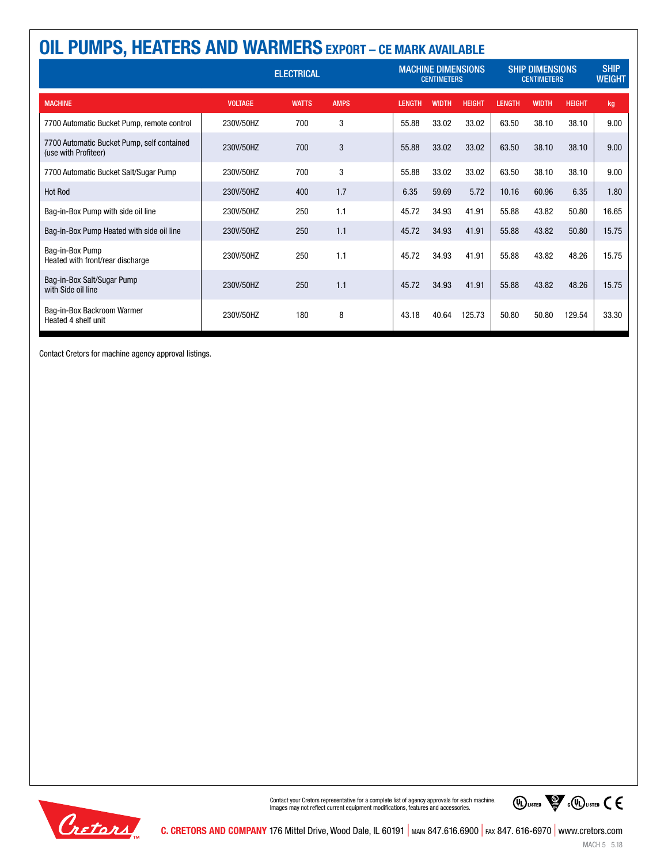| <b>OIL PUMPS, HEATERS AND WARMERS EXPORT - CE MARK AVAILABLE</b>   |                   |              |             |                                                 |               |              |                                              |               |              |                              |       |
|--------------------------------------------------------------------|-------------------|--------------|-------------|-------------------------------------------------|---------------|--------------|----------------------------------------------|---------------|--------------|------------------------------|-------|
|                                                                    | <b>ELECTRICAL</b> |              |             | <b>MACHINE DIMENSIONS</b><br><b>CENTIMETERS</b> |               |              | <b>SHIP DIMENSIONS</b><br><b>CENTIMETERS</b> |               |              | <b>SHIP</b><br><b>WEIGHT</b> |       |
| <b>MACHINE</b>                                                     | <b>VOLTAGE</b>    | <b>WATTS</b> | <b>AMPS</b> |                                                 | <b>LENGTH</b> | <b>WIDTH</b> | <b>HEIGHT</b>                                | <b>LENGTH</b> | <b>WIDTH</b> | <b>HEIGHT</b>                | kg    |
| 7700 Automatic Bucket Pump, remote control                         | 230V/50HZ         | 700          | 3           |                                                 | 55.88         | 33.02        | 33.02                                        | 63.50         | 38.10        | 38.10                        | 9.00  |
| 7700 Automatic Bucket Pump, self contained<br>(use with Profiteer) | 230V/50HZ         | 700          | 3           |                                                 | 55.88         | 33.02        | 33.02                                        | 63.50         | 38.10        | 38.10                        | 9.00  |
| 7700 Automatic Bucket Salt/Sugar Pump                              | 230V/50HZ         | 700          | 3           |                                                 | 55.88         | 33.02        | 33.02                                        | 63.50         | 38.10        | 38.10                        | 9.00  |
| <b>Hot Rod</b>                                                     | 230V/50HZ         | 400          | 1.7         |                                                 | 6.35          | 59.69        | 5.72                                         | 10.16         | 60.96        | 6.35                         | 1.80  |
| Bag-in-Box Pump with side oil line                                 | 230V/50HZ         | 250          | 1.1         |                                                 | 45.72         | 34.93        | 41.91                                        | 55.88         | 43.82        | 50.80                        | 16.65 |
| Bag-in-Box Pump Heated with side oil line                          | 230V/50HZ         | 250          | 1.1         |                                                 | 45.72         | 34.93        | 41.91                                        | 55.88         | 43.82        | 50.80                        | 15.75 |
| Bag-in-Box Pump<br>Heated with front/rear discharge                | 230V/50HZ         | 250          | 1.1         |                                                 | 45.72         | 34.93        | 41.91                                        | 55.88         | 43.82        | 48.26                        | 15.75 |
| Bag-in-Box Salt/Sugar Pump<br>with Side oil line                   | 230V/50HZ         | 250          | 1.1         |                                                 | 45.72         | 34.93        | 41.91                                        | 55.88         | 43.82        | 48.26                        | 15.75 |
| Bag-in-Box Backroom Warmer<br>Heated 4 shelf unit                  | 230V/50HZ         | 180          | 8           |                                                 | 43.18         | 40.64        | 125.73                                       | 50.80         | 50.80        | 129.54                       | 33.30 |

Contact Cretors for machine agency approval listings.